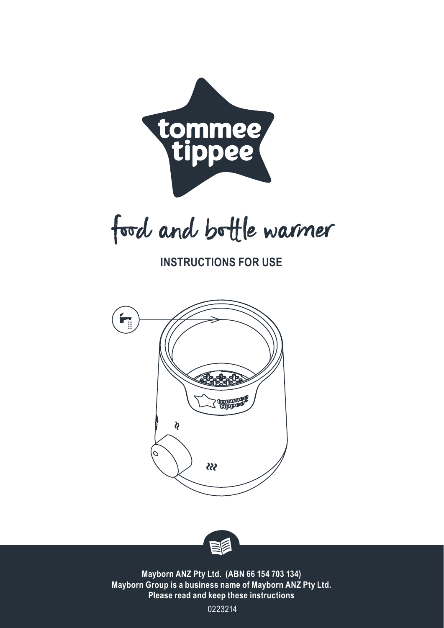

food and bottle warmer

**INSTRUCTIONS FOR USE**





**Mayborn ANZ Pty Ltd. (ABN 66 154 703 134) Mayborn Group is a business name of Mayborn ANZ Pty Ltd. Please read and keep these instructions**

0223214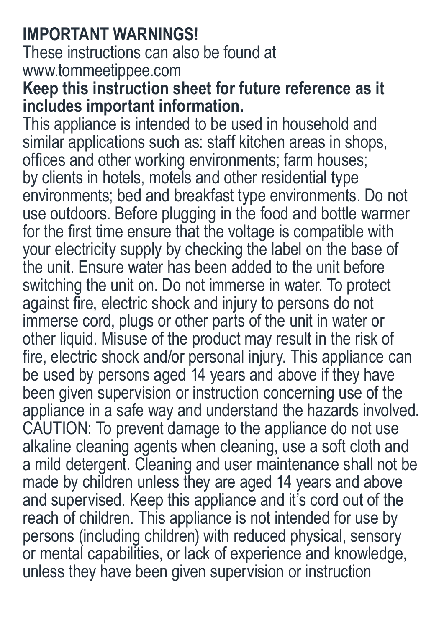# **IMPORTANT WARNINGS!**

These instructions can also be found at www.tommeetippee.com

## **Keep this instruction sheet for future reference as it includes important information.**

This appliance is intended to be used in household and similar applications such as: staff kitchen areas in shops, offices and other working environments; farm houses; by clients in hotels, motels and other residential type environments; bed and breakfast type environments. Do not use outdoors. Before plugging in the food and bottle warmer for the first time ensure that the voltage is compatible with your electricity supply by checking the label on the base of the unit. Ensure water has been added to the unit before switching the unit on. Do not immerse in water. To protect against fire, electric shock and injury to persons do not immerse cord, plugs or other parts of the unit in water or other liquid. Misuse of the product may result in the risk of fire, electric shock and/or personal injury. This appliance can be used by persons aged 14 years and above if they have been given supervision or instruction concerning use of the appliance in a safe way and understand the hazards involved. CAUTION: To prevent damage to the appliance do not use alkaline cleaning agents when cleaning, use a soft cloth and a mild detergent. Cleaning and user maintenance shall not be made by children unless they are aged 14 years and above and supervised. Keep this appliance and it's cord out of the reach of children. This appliance is not intended for use by persons (including children) with reduced physical, sensory or mental capabilities, or lack of experience and knowledge, unless they have been given supervision or instruction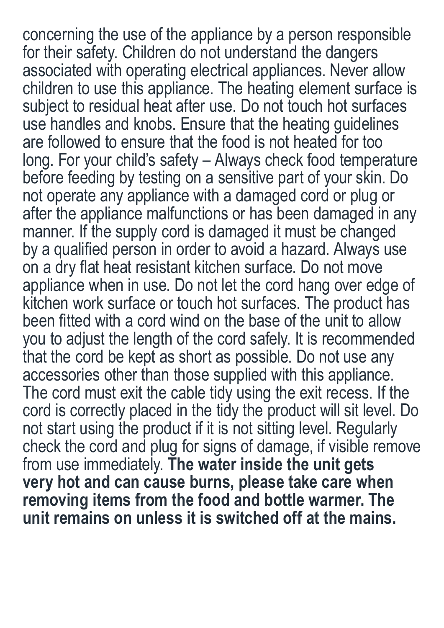concerning the use of the appliance by a person responsible for their safety. Children do not understand the dangers associated with operating electrical appliances. Never allow children to use this appliance. The heating element surface is subject to residual heat after use. Do not touch hot surfaces use handles and knobs. Ensure that the heating guidelines are followed to ensure that the food is not heated for too long. For your child's safety – Always check food temperature before feeding by testing on a sensitive part of your skin. Do not operate any appliance with a damaged cord or plug or after the appliance malfunctions or has been damaged in any manner. If the supply cord is damaged it must be changed by a qualified person in order to avoid a hazard. Always use on a dry flat heat resistant kitchen surface. Do not move appliance when in use. Do not let the cord hang over edge of kitchen work surface or touch hot surfaces. The product has been fitted with a cord wind on the base of the unit to allow you to adjust the length of the cord safely. It is recommended that the cord be kept as short as possible. Do not use any accessories other than those supplied with this appliance. The cord must exit the cable tidy using the exit recess. If the cord is correctly placed in the tidy the product will sit level. Do not start using the product if it is not sitting level. Regularly check the cord and plug for signs of damage, if visible remove from use immediately. **The water inside the unit gets very hot and can cause burns, please take care when removing items from the food and bottle warmer. The unit remains on unless it is switched off at the mains.**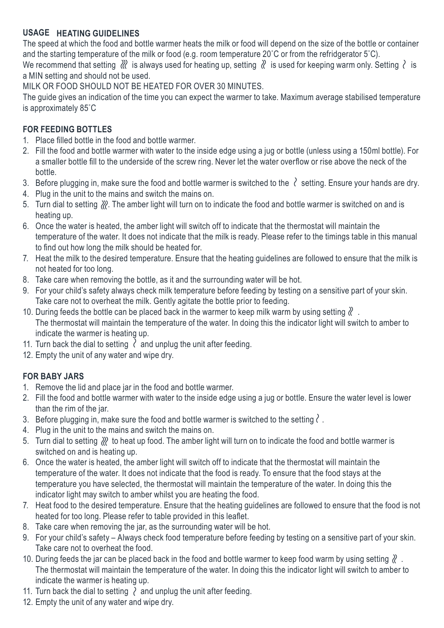#### **USAGE HEATING GUIDELINES**

The speed at which the food and bottle warmer heats the milk or food will depend on the size of the bottle or container and the starting temperature of the milk or food (e.g. room temperature 20℃ or from the refridgerator 5℃).

We recommend that setting  $\mathbb{R}$  is always used for heating up, setting  $\mathbb{R}$  is used for keeping warm only. Setting  $\mathbb{R}$  is a MIN setting and should not be used.

MILK OR FOOD SHOULD NOT BE HEATED FOR OVER 30 MINUTES.

The guide gives an indication of the time you can expect the warmer to take. Maximum average stabilised temperature is approximately 85˚C

### **FOR FEEDING BOTTLES**

- 1. Place filled bottle in the food and bottle warmer.
- 2. Fill the food and bottle warmer with water to the inside edge using a jug or bottle (unless using a 150ml bottle). For a smaller bottle fill to the underside of the screw ring. Never let the water overflow or rise above the neck of the bottle.
- 3. Before plugging in, make sure the food and bottle warmer is switched to the  $\ell$  setting. Ensure your hands are dry.
- 4. Plug in the unit to the mains and switch the mains on.
- 5. Turn dial to setting . The amber light will turn on to indicate the food and bottle warmer is switched on and is heating up.
- 6. Once the water is heated, the amber light will switch off to indicate that the thermostat will maintain the temperature of the water. It does not indicate that the milk is ready. Please refer to the timings table in this manual to find out how long the milk should be heated for.
- 7. Heat the milk to the desired temperature. Ensure that the heating guidelines are followed to ensure that the milk is not heated for too long.
- 8. Take care when removing the bottle, as it and the surrounding water will be hot.
- 9. For your child's safety always check milk temperature before feeding by testing on a sensitive part of your skin. Take care not to overheat the milk. Gently agitate the bottle prior to feeding.
- 10. During feeds the bottle can be placed back in the warmer to keep milk warm by using setting  $\ell$ . The thermostat will maintain the temperature of the water. In doing this the indicator light will switch to amber to indicate the warmer is heating up.
- 11. Turn back the dial to setting  $\lambda$  and unplug the unit after feeding.
- 12. Empty the unit of any water and wipe dry.

#### **FOR BABY JARS**

- 1. Remove the lid and place jar in the food and bottle warmer.
- 2. Fill the food and bottle warmer with water to the inside edge using a jug or bottle. Ensure the water level is lower than the rim of the jar.
- 3. Before plugging in, make sure the food and bottle warmer is switched to the setting  $\langle \cdot \rangle$ .
- 4. Plug in the unit to the mains and switch the mains on.
- 5. Turn dial to setting  $\mathcal{W}$  to heat up food. The amber light will turn on to indicate the food and bottle warmer is switched on and is heating up.
- 6. Once the water is heated, the amber light will switch off to indicate that the thermostat will maintain the temperature of the water. It does not indicate that the food is ready. To ensure that the food stays at the temperature you have selected, the thermostat will maintain the temperature of the water. In doing this the indicator light may switch to amber whilst you are heating the food.
- 7. Heat food to the desired temperature. Ensure that the heating guidelines are followed to ensure that the food is not heated for too long. Please refer to table provided in this leaflet.
- 8. Take care when removing the jar, as the surrounding water will be hot.
- 9. For your child's safety Always check food temperature before feeding by testing on a sensitive part of your skin. Take care not to overheat the food.
- 10. During feeds the jar can be placed back in the food and bottle warmer to keep food warm by using setting  $\ell$ . The thermostat will maintain the temperature of the water. In doing this the indicator light will switch to amber to indicate the warmer is heating up.
- 11. Turn back the dial to setting  $\lambda$  and unplug the unit after feeding.
- 12. Empty the unit of any water and wipe dry.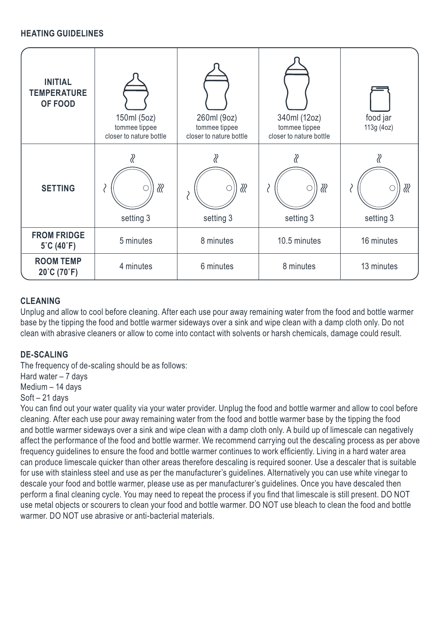#### **HEATING GUIDELINES**

| <b>INITIAL</b><br><b>TEMPERATURE</b><br>OF FOOD | 150ml (5oz)<br>tommee tippee<br>closer to nature bottle | 260ml (9oz)<br>tommee tippee<br>closer to nature bottle | 340ml (12oz)<br>tommee tippee<br>closer to nature bottle | food jar<br>113g (4oz) |
|-------------------------------------------------|---------------------------------------------------------|---------------------------------------------------------|----------------------------------------------------------|------------------------|
| <b>SETTING</b>                                  | ∛<br>setting 3                                          | ℛ<br>setting 3                                          | ∦<br>setting 3                                           | ∛<br>setting 3         |
| <b>FROM FRIDGE</b><br>5°C (40°F)                | 5 minutes                                               | 8 minutes                                               | 10.5 minutes                                             | 16 minutes             |
| <b>ROOM TEMP</b><br>20°C (70°F)                 | 4 minutes                                               | 6 minutes                                               | 8 minutes                                                | 13 minutes             |

#### **CLEANING**

Unplug and allow to cool before cleaning. After each use pour away remaining water from the food and bottle warmer base by the tipping the food and bottle warmer sideways over a sink and wipe clean with a damp cloth only. Do not clean with abrasive cleaners or allow to come into contact with solvents or harsh chemicals, damage could result.

#### **DE-SCALING**

The frequency of de-scaling should be as follows: Hard water – 7 days

Medium – 14 days

Soft – 21 days

You can find out your water quality via your water provider. Unplug the food and bottle warmer and allow to cool before cleaning. After each use pour away remaining water from the food and bottle warmer base by the tipping the food and bottle warmer sideways over a sink and wipe clean with a damp cloth only. A build up of limescale can negatively affect the performance of the food and bottle warmer. We recommend carrying out the descaling process as per above frequency guidelines to ensure the food and bottle warmer continues to work efficiently. Living in a hard water area can produce limescale quicker than other areas therefore descaling is required sooner. Use a descaler that is suitable for use with stainless steel and use as per the manufacturer's guidelines. Alternatively you can use white vinegar to descale your food and bottle warmer, please use as per manufacturer's guidelines. Once you have descaled then perform a final cleaning cycle. You may need to repeat the process if you find that limescale is still present. DO NOT use metal objects or scourers to clean your food and bottle warmer. DO NOT use bleach to clean the food and bottle warmer. DO NOT use abrasive or anti-bacterial materials.